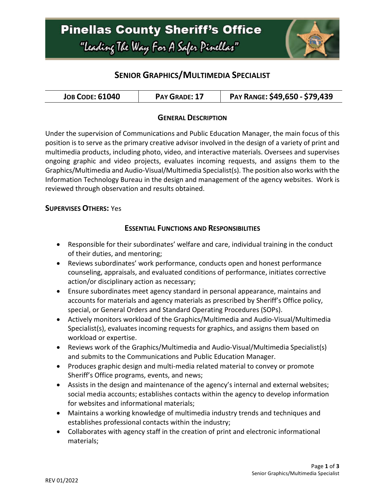

### **SENIOR GRAPHICS/MULTIMEDIA SPECIALIST**

| <b>JOB CODE: 61040</b> | PAY GRADE: 17 | PAY RANGE: \$49,650 - \$79,439 |
|------------------------|---------------|--------------------------------|
|------------------------|---------------|--------------------------------|

### **GENERAL DESCRIPTION**

Under the supervision of Communications and Public Education Manager, the main focus of this position is to serve as the primary creative advisor involved in the design of a variety of print and multimedia products, including photo, video, and interactive materials. Oversees and supervises ongoing graphic and video projects, evaluates incoming requests, and assigns them to the Graphics/Multimedia and Audio-Visual/Multimedia Specialist(s). The position also works with the Information Technology Bureau in the design and management of the agency websites. Work is reviewed through observation and results obtained.

#### **SUPERVISES OTHERS:** Yes

#### **ESSENTIAL FUNCTIONS AND RESPONSIBILITIES**

- Responsible for their subordinates' welfare and care, individual training in the conduct of their duties, and mentoring;
- Reviews subordinates' work performance, conducts open and honest performance counseling, appraisals, and evaluated conditions of performance, initiates corrective action/or disciplinary action as necessary;
- Ensure subordinates meet agency standard in personal appearance, maintains and accounts for materials and agency materials as prescribed by Sheriff's Office policy, special, or General Orders and Standard Operating Procedures (SOPs).
- Actively monitors workload of the Graphics/Multimedia and Audio-Visual/Multimedia Specialist(s), evaluates incoming requests for graphics, and assigns them based on workload or expertise.
- Reviews work of the Graphics/Multimedia and Audio-Visual/Multimedia Specialist(s) and submits to the Communications and Public Education Manager.
- Produces graphic design and multi-media related material to convey or promote Sheriff's Office programs, events, and news;
- Assists in the design and maintenance of the agency's internal and external websites; social media accounts; establishes contacts within the agency to develop information for websites and informational materials;
- Maintains a working knowledge of multimedia industry trends and techniques and establishes professional contacts within the industry;
- Collaborates with agency staff in the creation of print and electronic informational materials;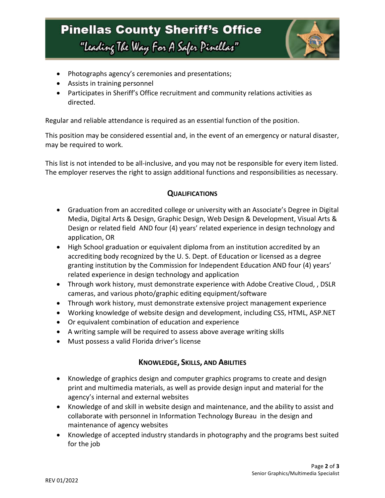# **Pinellas County Sheriff's Office** "Leading The Way For A Safer Pinellar"



- Photographs agency's ceremonies and presentations;
- Assists in training personnel
- Participates in Sheriff's Office recruitment and community relations activities as directed.

Regular and reliable attendance is required as an essential function of the position.

This position may be considered essential and, in the event of an emergency or natural disaster, may be required to work.

This list is not intended to be all-inclusive, and you may not be responsible for every item listed. The employer reserves the right to assign additional functions and responsibilities as necessary.

### **QUALIFICATIONS**

- Graduation from an accredited college or university with an Associate's Degree in Digital Media, Digital Arts & Design, Graphic Design, Web Design & Development, Visual Arts & Design or related field AND four (4) years' related experience in design technology and application, OR
- High School graduation or equivalent diploma from an institution accredited by an accrediting body recognized by the U. S. Dept. of Education or licensed as a degree granting institution by the Commission for Independent Education AND four (4) years' related experience in design technology and application
- Through work history, must demonstrate experience with Adobe Creative Cloud, , DSLR cameras, and various photo/graphic editing equipment/software
- Through work history, must demonstrate extensive project management experience
- Working knowledge of website design and development, including CSS, HTML, ASP.NET
- Or equivalent combination of education and experience
- A writing sample will be required to assess above average writing skills
- Must possess a valid Florida driver's license

### **KNOWLEDGE, SKILLS, AND ABILITIES**

- Knowledge of graphics design and computer graphics programs to create and design print and multimedia materials, as well as provide design input and material for the agency's internal and external websites
- Knowledge of and skill in website design and maintenance, and the ability to assist and collaborate with personnel in Information Technology Bureau in the design and maintenance of agency websites
- Knowledge of accepted industry standards in photography and the programs best suited for the job